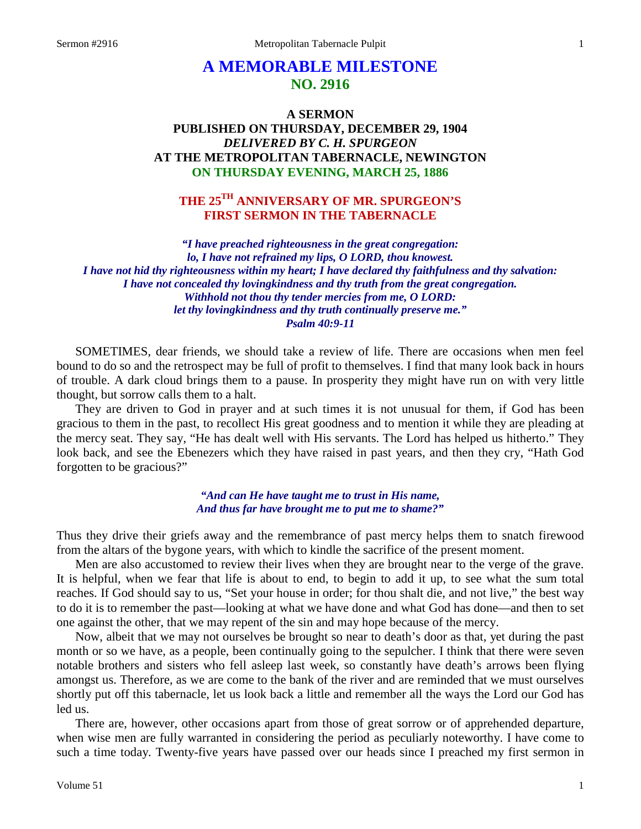# **A MEMORABLE MILESTONE NO. 2916**

## **A SERMON PUBLISHED ON THURSDAY, DECEMBER 29, 1904** *DELIVERED BY C. H. SPURGEON* **AT THE METROPOLITAN TABERNACLE, NEWINGTON ON THURSDAY EVENING, MARCH 25, 1886**

# **THE 25TH ANNIVERSARY OF MR. SPURGEON'S FIRST SERMON IN THE TABERNACLE**

*"I have preached righteousness in the great congregation: lo, I have not refrained my lips, O LORD, thou knowest. I have not hid thy righteousness within my heart; I have declared thy faithfulness and thy salvation: I have not concealed thy lovingkindness and thy truth from the great congregation. Withhold not thou thy tender mercies from me, O LORD: let thy lovingkindness and thy truth continually preserve me." Psalm 40:9-11*

SOMETIMES, dear friends, we should take a review of life. There are occasions when men feel bound to do so and the retrospect may be full of profit to themselves. I find that many look back in hours of trouble. A dark cloud brings them to a pause. In prosperity they might have run on with very little thought, but sorrow calls them to a halt.

They are driven to God in prayer and at such times it is not unusual for them, if God has been gracious to them in the past, to recollect His great goodness and to mention it while they are pleading at the mercy seat. They say, "He has dealt well with His servants. The Lord has helped us hitherto." They look back, and see the Ebenezers which they have raised in past years, and then they cry, "Hath God forgotten to be gracious?"

> *"And can He have taught me to trust in His name, And thus far have brought me to put me to shame?"*

Thus they drive their griefs away and the remembrance of past mercy helps them to snatch firewood from the altars of the bygone years, with which to kindle the sacrifice of the present moment.

Men are also accustomed to review their lives when they are brought near to the verge of the grave. It is helpful, when we fear that life is about to end, to begin to add it up, to see what the sum total reaches. If God should say to us, "Set your house in order; for thou shalt die, and not live," the best way to do it is to remember the past—looking at what we have done and what God has done—and then to set one against the other, that we may repent of the sin and may hope because of the mercy.

Now, albeit that we may not ourselves be brought so near to death's door as that, yet during the past month or so we have, as a people, been continually going to the sepulcher. I think that there were seven notable brothers and sisters who fell asleep last week, so constantly have death's arrows been flying amongst us. Therefore, as we are come to the bank of the river and are reminded that we must ourselves shortly put off this tabernacle, let us look back a little and remember all the ways the Lord our God has led us.

There are, however, other occasions apart from those of great sorrow or of apprehended departure, when wise men are fully warranted in considering the period as peculiarly noteworthy. I have come to such a time today. Twenty-five years have passed over our heads since I preached my first sermon in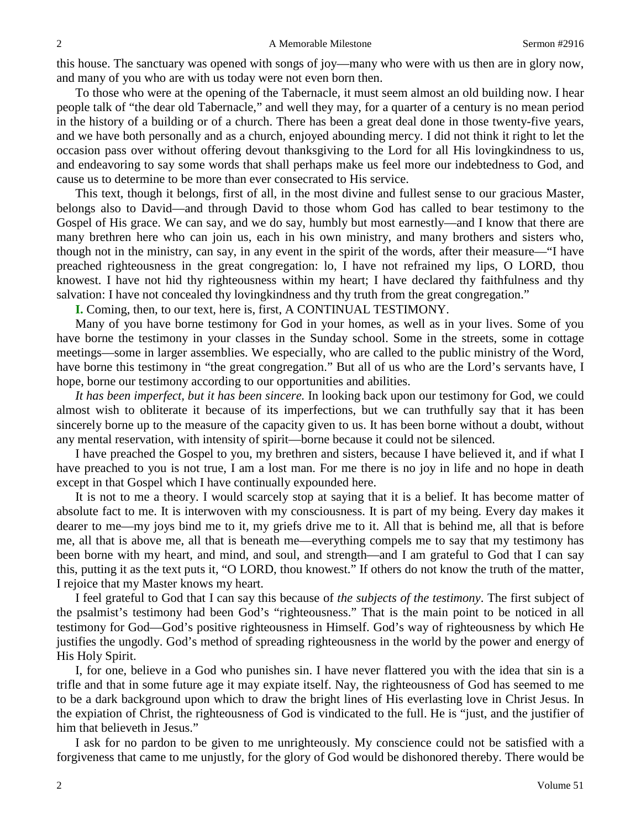this house. The sanctuary was opened with songs of joy—many who were with us then are in glory now, and many of you who are with us today were not even born then.

To those who were at the opening of the Tabernacle, it must seem almost an old building now. I hear people talk of "the dear old Tabernacle," and well they may, for a quarter of a century is no mean period in the history of a building or of a church. There has been a great deal done in those twenty-five years, and we have both personally and as a church, enjoyed abounding mercy. I did not think it right to let the occasion pass over without offering devout thanksgiving to the Lord for all His lovingkindness to us, and endeavoring to say some words that shall perhaps make us feel more our indebtedness to God, and cause us to determine to be more than ever consecrated to His service.

This text, though it belongs, first of all, in the most divine and fullest sense to our gracious Master, belongs also to David—and through David to those whom God has called to bear testimony to the Gospel of His grace. We can say, and we do say, humbly but most earnestly—and I know that there are many brethren here who can join us, each in his own ministry, and many brothers and sisters who, though not in the ministry, can say, in any event in the spirit of the words, after their measure—"I have preached righteousness in the great congregation: lo, I have not refrained my lips, O LORD, thou knowest. I have not hid thy righteousness within my heart; I have declared thy faithfulness and thy salvation: I have not concealed thy lovingkindness and thy truth from the great congregation."

**I.** Coming, then, to our text, here is, first, A CONTINUAL TESTIMONY.

Many of you have borne testimony for God in your homes, as well as in your lives. Some of you have borne the testimony in your classes in the Sunday school. Some in the streets, some in cottage meetings—some in larger assemblies. We especially, who are called to the public ministry of the Word, have borne this testimony in "the great congregation." But all of us who are the Lord's servants have, I hope, borne our testimony according to our opportunities and abilities.

*It has been imperfect, but it has been sincere.* In looking back upon our testimony for God, we could almost wish to obliterate it because of its imperfections, but we can truthfully say that it has been sincerely borne up to the measure of the capacity given to us. It has been borne without a doubt, without any mental reservation, with intensity of spirit—borne because it could not be silenced.

I have preached the Gospel to you, my brethren and sisters, because I have believed it, and if what I have preached to you is not true, I am a lost man. For me there is no joy in life and no hope in death except in that Gospel which I have continually expounded here.

It is not to me a theory. I would scarcely stop at saying that it is a belief. It has become matter of absolute fact to me. It is interwoven with my consciousness. It is part of my being. Every day makes it dearer to me—my joys bind me to it, my griefs drive me to it. All that is behind me, all that is before me, all that is above me, all that is beneath me—everything compels me to say that my testimony has been borne with my heart, and mind, and soul, and strength—and I am grateful to God that I can say this, putting it as the text puts it, "O LORD, thou knowest." If others do not know the truth of the matter, I rejoice that my Master knows my heart.

I feel grateful to God that I can say this because of *the subjects of the testimony*. The first subject of the psalmist's testimony had been God's "righteousness." That is the main point to be noticed in all testimony for God—God's positive righteousness in Himself. God's way of righteousness by which He justifies the ungodly. God's method of spreading righteousness in the world by the power and energy of His Holy Spirit.

I, for one, believe in a God who punishes sin. I have never flattered you with the idea that sin is a trifle and that in some future age it may expiate itself. Nay, the righteousness of God has seemed to me to be a dark background upon which to draw the bright lines of His everlasting love in Christ Jesus. In the expiation of Christ, the righteousness of God is vindicated to the full. He is "just, and the justifier of him that believeth in Jesus."

I ask for no pardon to be given to me unrighteously. My conscience could not be satisfied with a forgiveness that came to me unjustly, for the glory of God would be dishonored thereby. There would be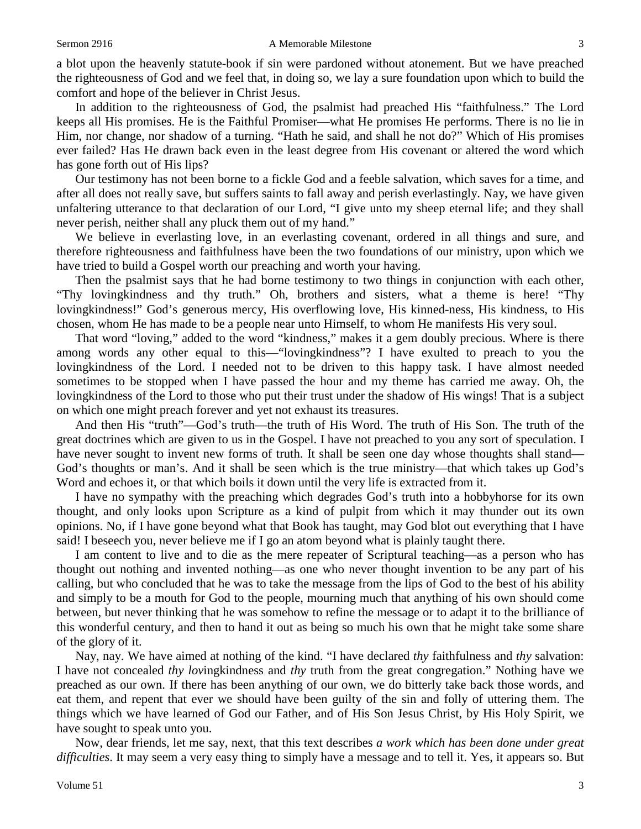a blot upon the heavenly statute-book if sin were pardoned without atonement. But we have preached the righteousness of God and we feel that, in doing so, we lay a sure foundation upon which to build the comfort and hope of the believer in Christ Jesus.

In addition to the righteousness of God, the psalmist had preached His "faithfulness." The Lord keeps all His promises. He is the Faithful Promiser—what He promises He performs. There is no lie in Him, nor change, nor shadow of a turning. "Hath he said, and shall he not do?" Which of His promises ever failed? Has He drawn back even in the least degree from His covenant or altered the word which has gone forth out of His lips?

Our testimony has not been borne to a fickle God and a feeble salvation, which saves for a time, and after all does not really save, but suffers saints to fall away and perish everlastingly. Nay, we have given unfaltering utterance to that declaration of our Lord, "I give unto my sheep eternal life; and they shall never perish, neither shall any pluck them out of my hand."

We believe in everlasting love, in an everlasting covenant, ordered in all things and sure, and therefore righteousness and faithfulness have been the two foundations of our ministry, upon which we have tried to build a Gospel worth our preaching and worth your having.

Then the psalmist says that he had borne testimony to two things in conjunction with each other, "Thy lovingkindness and thy truth." Oh, brothers and sisters, what a theme is here! "Thy lovingkindness!" God's generous mercy, His overflowing love, His kinned-ness, His kindness, to His chosen, whom He has made to be a people near unto Himself, to whom He manifests His very soul.

That word "loving," added to the word "kindness," makes it a gem doubly precious. Where is there among words any other equal to this—"lovingkindness"? I have exulted to preach to you the lovingkindness of the Lord. I needed not to be driven to this happy task. I have almost needed sometimes to be stopped when I have passed the hour and my theme has carried me away. Oh, the lovingkindness of the Lord to those who put their trust under the shadow of His wings! That is a subject on which one might preach forever and yet not exhaust its treasures.

And then His "truth"—God's truth—the truth of His Word. The truth of His Son. The truth of the great doctrines which are given to us in the Gospel. I have not preached to you any sort of speculation. I have never sought to invent new forms of truth. It shall be seen one day whose thoughts shall stand— God's thoughts or man's. And it shall be seen which is the true ministry—that which takes up God's Word and echoes it, or that which boils it down until the very life is extracted from it.

I have no sympathy with the preaching which degrades God's truth into a hobbyhorse for its own thought, and only looks upon Scripture as a kind of pulpit from which it may thunder out its own opinions. No, if I have gone beyond what that Book has taught, may God blot out everything that I have said! I beseech you, never believe me if I go an atom beyond what is plainly taught there.

I am content to live and to die as the mere repeater of Scriptural teaching—as a person who has thought out nothing and invented nothing—as one who never thought invention to be any part of his calling, but who concluded that he was to take the message from the lips of God to the best of his ability and simply to be a mouth for God to the people, mourning much that anything of his own should come between, but never thinking that he was somehow to refine the message or to adapt it to the brilliance of this wonderful century, and then to hand it out as being so much his own that he might take some share of the glory of it.

Nay, nay. We have aimed at nothing of the kind. "I have declared *thy* faithfulness and *thy* salvation: I have not concealed *thy lov*ingkindness and *thy* truth from the great congregation." Nothing have we preached as our own. If there has been anything of our own, we do bitterly take back those words, and eat them, and repent that ever we should have been guilty of the sin and folly of uttering them. The things which we have learned of God our Father, and of His Son Jesus Christ, by His Holy Spirit, we have sought to speak unto you.

Now, dear friends, let me say, next, that this text describes *a work which has been done under great difficulties*. It may seem a very easy thing to simply have a message and to tell it. Yes, it appears so. But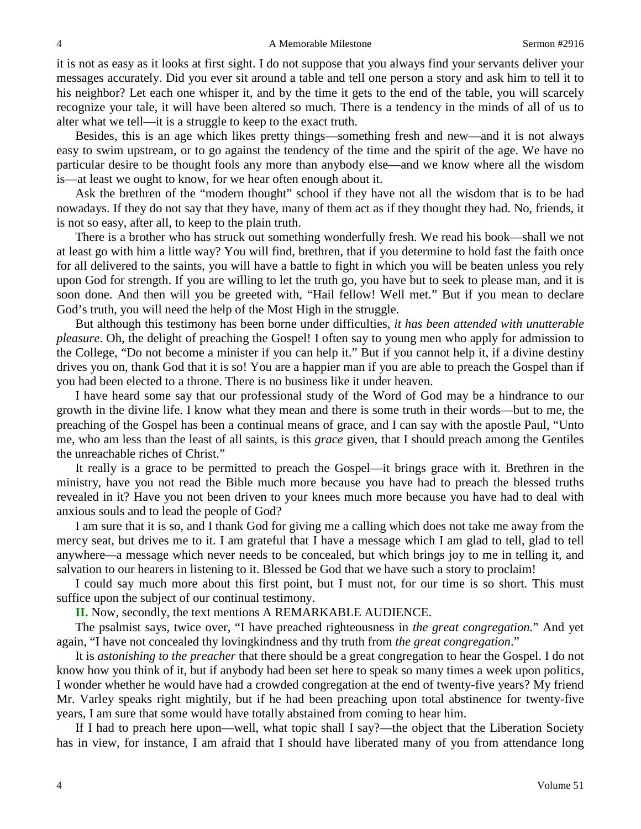it is not as easy as it looks at first sight. I do not suppose that you always find your servants deliver your messages accurately. Did you ever sit around a table and tell one person a story and ask him to tell it to his neighbor? Let each one whisper it, and by the time it gets to the end of the table, you will scarcely recognize your tale, it will have been altered so much. There is a tendency in the minds of all of us to alter what we tell—it is a struggle to keep to the exact truth.

Besides, this is an age which likes pretty things—something fresh and new—and it is not always easy to swim upstream, or to go against the tendency of the time and the spirit of the age. We have no particular desire to be thought fools any more than anybody else—and we know where all the wisdom is—at least we ought to know, for we hear often enough about it.

Ask the brethren of the "modern thought" school if they have not all the wisdom that is to be had nowadays. If they do not say that they have, many of them act as if they thought they had. No, friends, it is not so easy, after all, to keep to the plain truth.

There is a brother who has struck out something wonderfully fresh. We read his book—shall we not at least go with him a little way? You will find, brethren, that if you determine to hold fast the faith once for all delivered to the saints, you will have a battle to fight in which you will be beaten unless you rely upon God for strength. If you are willing to let the truth go, you have but to seek to please man, and it is soon done. And then will you be greeted with, "Hail fellow! Well met." But if you mean to declare God's truth, you will need the help of the Most High in the struggle.

But although this testimony has been borne under difficulties, *it has been attended with unutterable pleasure*. Oh, the delight of preaching the Gospel! I often say to young men who apply for admission to the College, "Do not become a minister if you can help it." But if you cannot help it, if a divine destiny drives you on, thank God that it is so! You are a happier man if you are able to preach the Gospel than if you had been elected to a throne. There is no business like it under heaven.

I have heard some say that our professional study of the Word of God may be a hindrance to our growth in the divine life. I know what they mean and there is some truth in their words—but to me, the preaching of the Gospel has been a continual means of grace, and I can say with the apostle Paul, "Unto me, who am less than the least of all saints, is this *grace* given, that I should preach among the Gentiles the unreachable riches of Christ."

It really is a grace to be permitted to preach the Gospel—it brings grace with it. Brethren in the ministry, have you not read the Bible much more because you have had to preach the blessed truths revealed in it? Have you not been driven to your knees much more because you have had to deal with anxious souls and to lead the people of God?

I am sure that it is so, and I thank God for giving me a calling which does not take me away from the mercy seat, but drives me to it. I am grateful that I have a message which I am glad to tell, glad to tell anywhere*—*a message which never needs to be concealed, but which brings joy to me in telling it, and salvation to our hearers in listening to it. Blessed be God that we have such a story to proclaim!

I could say much more about this first point, but I must not, for our time is so short. This must suffice upon the subject of our continual testimony.

**II.** Now, secondly, the text mentions A REMARKABLE AUDIENCE.

The psalmist says, twice over, "I have preached righteousness in *the great congregation.*" And yet again, "I have not concealed thy lovingkindness and thy truth from *the great congregation*."

It is *astonishing to the preacher* that there should be a great congregation to hear the Gospel. I do not know how you think of it, but if anybody had been set here to speak so many times a week upon politics, I wonder whether he would have had a crowded congregation at the end of twenty-five years? My friend Mr. Varley speaks right mightily, but if he had been preaching upon total abstinence for twenty-five years, I am sure that some would have totally abstained from coming to hear him.

If I had to preach here upon—well, what topic shall I say?—the object that the Liberation Society has in view, for instance, I am afraid that I should have liberated many of you from attendance long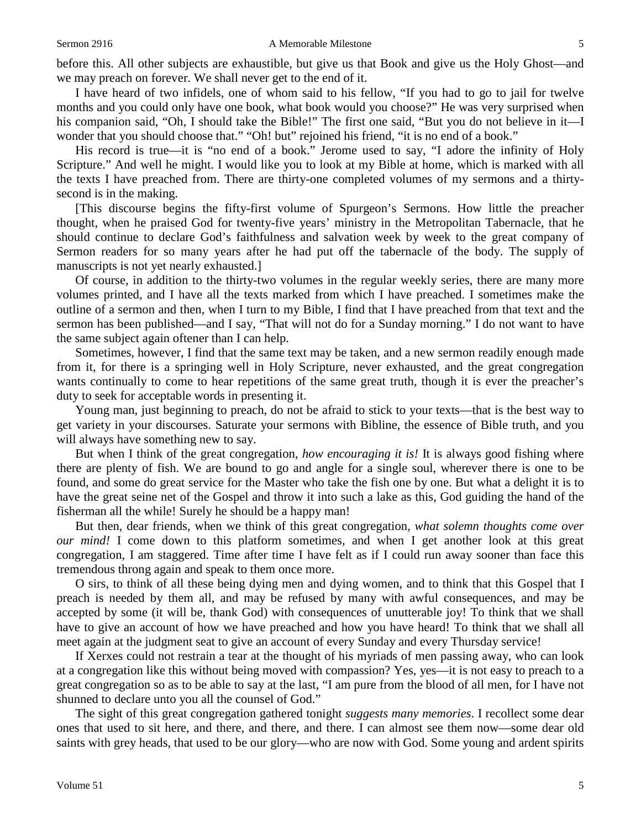before this. All other subjects are exhaustible, but give us that Book and give us the Holy Ghost—and we may preach on forever. We shall never get to the end of it.

I have heard of two infidels, one of whom said to his fellow, "If you had to go to jail for twelve months and you could only have one book, what book would you choose?" He was very surprised when his companion said, "Oh, I should take the Bible!" The first one said, "But you do not believe in it—I wonder that you should choose that." "Oh! but" rejoined his friend, "it is no end of a book."

His record is true—it is "no end of a book." Jerome used to say, "I adore the infinity of Holy Scripture." And well he might. I would like you to look at my Bible at home, which is marked with all the texts I have preached from. There are thirty-one completed volumes of my sermons and a thirtysecond is in the making.

[This discourse begins the fifty-first volume of Spurgeon's Sermons. How little the preacher thought, when he praised God for twenty-five years' ministry in the Metropolitan Tabernacle, that he should continue to declare God's faithfulness and salvation week by week to the great company of Sermon readers for so many years after he had put off the tabernacle of the body. The supply of manuscripts is not yet nearly exhausted.]

Of course, in addition to the thirty-two volumes in the regular weekly series, there are many more volumes printed, and I have all the texts marked from which I have preached. I sometimes make the outline of a sermon and then, when I turn to my Bible, I find that I have preached from that text and the sermon has been published—and I say, "That will not do for a Sunday morning." I do not want to have the same subject again oftener than I can help.

Sometimes, however, I find that the same text may be taken, and a new sermon readily enough made from it, for there is a springing well in Holy Scripture, never exhausted, and the great congregation wants continually to come to hear repetitions of the same great truth, though it is ever the preacher's duty to seek for acceptable words in presenting it.

Young man, just beginning to preach, do not be afraid to stick to your texts—that is the best way to get variety in your discourses. Saturate your sermons with Bibline, the essence of Bible truth, and you will always have something new to say.

But when I think of the great congregation, *how encouraging it is!* It is always good fishing where there are plenty of fish. We are bound to go and angle for a single soul, wherever there is one to be found, and some do great service for the Master who take the fish one by one. But what a delight it is to have the great seine net of the Gospel and throw it into such a lake as this, God guiding the hand of the fisherman all the while! Surely he should be a happy man!

But then, dear friends, when we think of this great congregation, *what solemn thoughts come over our mind!* I come down to this platform sometimes, and when I get another look at this great congregation, I am staggered. Time after time I have felt as if I could run away sooner than face this tremendous throng again and speak to them once more.

O sirs, to think of all these being dying men and dying women, and to think that this Gospel that I preach is needed by them all, and may be refused by many with awful consequences, and may be accepted by some (it will be, thank God) with consequences of unutterable joy! To think that we shall have to give an account of how we have preached and how you have heard! To think that we shall all meet again at the judgment seat to give an account of every Sunday and every Thursday service!

If Xerxes could not restrain a tear at the thought of his myriads of men passing away, who can look at a congregation like this without being moved with compassion? Yes, yes—it is not easy to preach to a great congregation so as to be able to say at the last, "I am pure from the blood of all men, for I have not shunned to declare unto you all the counsel of God."

The sight of this great congregation gathered tonight *suggests many memories*. I recollect some dear ones that used to sit here, and there, and there, and there. I can almost see them now—some dear old saints with grey heads, that used to be our glory—who are now with God. Some young and ardent spirits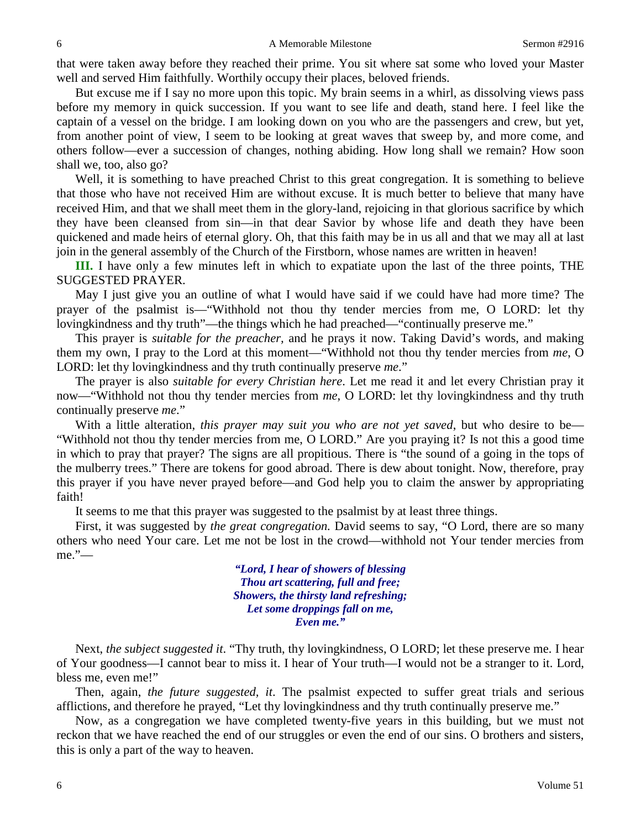that were taken away before they reached their prime. You sit where sat some who loved your Master well and served Him faithfully. Worthily occupy their places, beloved friends.

But excuse me if I say no more upon this topic. My brain seems in a whirl, as dissolving views pass before my memory in quick succession. If you want to see life and death, stand here. I feel like the captain of a vessel on the bridge. I am looking down on you who are the passengers and crew, but yet, from another point of view, I seem to be looking at great waves that sweep by, and more come, and others follow—ever a succession of changes, nothing abiding. How long shall we remain? How soon shall we, too, also go?

Well, it is something to have preached Christ to this great congregation. It is something to believe that those who have not received Him are without excuse. It is much better to believe that many have received Him, and that we shall meet them in the glory-land, rejoicing in that glorious sacrifice by which they have been cleansed from sin—in that dear Savior by whose life and death they have been quickened and made heirs of eternal glory. Oh, that this faith may be in us all and that we may all at last join in the general assembly of the Church of the Firstborn, whose names are written in heaven!

**III.** I have only a few minutes left in which to expatiate upon the last of the three points, THE SUGGESTED PRAYER.

May I just give you an outline of what I would have said if we could have had more time? The prayer of the psalmist is—"Withhold not thou thy tender mercies from me, O LORD: let thy lovingkindness and thy truth"—the things which he had preached—"continually preserve me."

This prayer is *suitable for the preacher,* and he prays it now. Taking David's words, and making them my own, I pray to the Lord at this moment—"Withhold not thou thy tender mercies from *me*, O LORD: let thy lovingkindness and thy truth continually preserve *me*."

The prayer is also *suitable for every Christian here*. Let me read it and let every Christian pray it now—"Withhold not thou thy tender mercies from *me*, O LORD: let thy lovingkindness and thy truth continually preserve *me*."

With a little alteration, *this prayer may suit you who are not yet saved*, but who desire to be— "Withhold not thou thy tender mercies from me, O LORD." Are you praying it? Is not this a good time in which to pray that prayer? The signs are all propitious. There is "the sound of a going in the tops of the mulberry trees." There are tokens for good abroad. There is dew about tonight. Now, therefore, pray this prayer if you have never prayed before—and God help you to claim the answer by appropriating faith!

It seems to me that this prayer was suggested to the psalmist by at least three things.

First, it was suggested by *the great congregation.* David seems to say, "O Lord, there are so many others who need Your care. Let me not be lost in the crowd—withhold not Your tender mercies from me."—

> *"Lord, I hear of showers of blessing Thou art scattering, full and free; Showers, the thirsty land refreshing; Let some droppings fall on me, Even me."*

Next, *the subject suggested it*. "Thy truth, thy lovingkindness, O LORD; let these preserve me. I hear of Your goodness—I cannot bear to miss it. I hear of Your truth—I would not be a stranger to it. Lord, bless me, even me!"

Then, again, *the future suggested, it*. The psalmist expected to suffer great trials and serious afflictions, and therefore he prayed, "Let thy lovingkindness and thy truth continually preserve me."

Now, as a congregation we have completed twenty-five years in this building, but we must not reckon that we have reached the end of our struggles or even the end of our sins. O brothers and sisters, this is only a part of the way to heaven.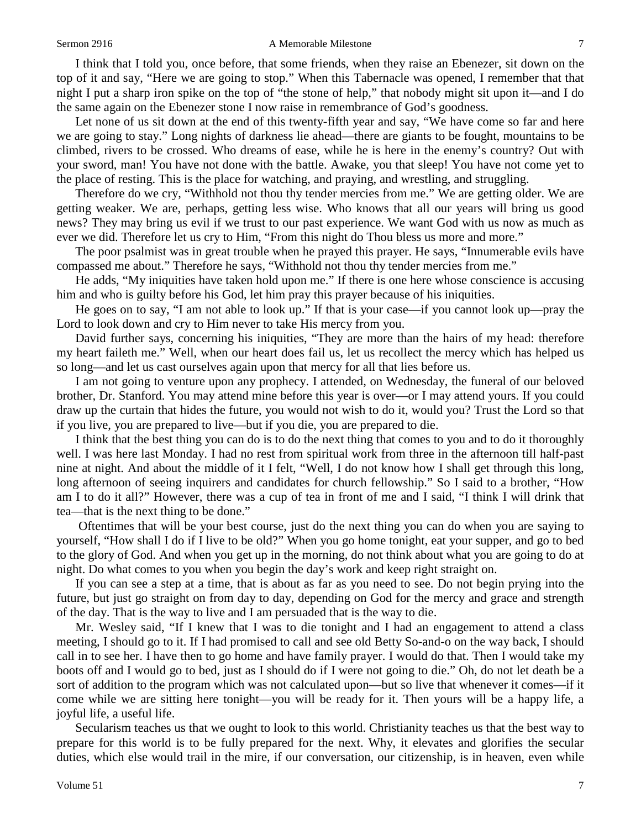#### Sermon 2916 **A Memorable Milestone** 7

I think that I told you, once before, that some friends, when they raise an Ebenezer, sit down on the top of it and say, "Here we are going to stop." When this Tabernacle was opened, I remember that that night I put a sharp iron spike on the top of "the stone of help," that nobody might sit upon it—and I do the same again on the Ebenezer stone I now raise in remembrance of God's goodness.

Let none of us sit down at the end of this twenty-fifth year and say, "We have come so far and here we are going to stay." Long nights of darkness lie ahead—there are giants to be fought, mountains to be climbed, rivers to be crossed. Who dreams of ease, while he is here in the enemy's country? Out with your sword, man! You have not done with the battle. Awake, you that sleep! You have not come yet to the place of resting. This is the place for watching, and praying, and wrestling, and struggling.

Therefore do we cry, "Withhold not thou thy tender mercies from me." We are getting older. We are getting weaker. We are, perhaps, getting less wise. Who knows that all our years will bring us good news? They may bring us evil if we trust to our past experience. We want God with us now as much as ever we did. Therefore let us cry to Him, "From this night do Thou bless us more and more."

The poor psalmist was in great trouble when he prayed this prayer. He says, "Innumerable evils have compassed me about." Therefore he says, "Withhold not thou thy tender mercies from me."

He adds, "My iniquities have taken hold upon me." If there is one here whose conscience is accusing him and who is guilty before his God, let him pray this prayer because of his iniquities.

He goes on to say, "I am not able to look up." If that is your case—if you cannot look up—pray the Lord to look down and cry to Him never to take His mercy from you.

David further says, concerning his iniquities, "They are more than the hairs of my head: therefore my heart faileth me." Well, when our heart does fail us, let us recollect the mercy which has helped us so long—and let us cast ourselves again upon that mercy for all that lies before us.

I am not going to venture upon any prophecy. I attended, on Wednesday, the funeral of our beloved brother, Dr. Stanford. You may attend mine before this year is over—or I may attend yours. If you could draw up the curtain that hides the future, you would not wish to do it, would you? Trust the Lord so that if you live, you are prepared to live—but if you die, you are prepared to die.

I think that the best thing you can do is to do the next thing that comes to you and to do it thoroughly well. I was here last Monday. I had no rest from spiritual work from three in the afternoon till half-past nine at night. And about the middle of it I felt, "Well, I do not know how I shall get through this long, long afternoon of seeing inquirers and candidates for church fellowship." So I said to a brother, "How am I to do it all?" However, there was a cup of tea in front of me and I said, "I think I will drink that tea—that is the next thing to be done."

Oftentimes that will be your best course, just do the next thing you can do when you are saying to yourself, "How shall I do if I live to be old?" When you go home tonight, eat your supper, and go to bed to the glory of God. And when you get up in the morning, do not think about what you are going to do at night. Do what comes to you when you begin the day's work and keep right straight on.

If you can see a step at a time, that is about as far as you need to see. Do not begin prying into the future, but just go straight on from day to day, depending on God for the mercy and grace and strength of the day. That is the way to live and I am persuaded that is the way to die.

Mr. Wesley said, "If I knew that I was to die tonight and I had an engagement to attend a class meeting, I should go to it. If I had promised to call and see old Betty So-and-o on the way back, I should call in to see her. I have then to go home and have family prayer. I would do that. Then I would take my boots off and I would go to bed, just as I should do if I were not going to die." Oh, do not let death be a sort of addition to the program which was not calculated upon—but so live that whenever it comes—if it come while we are sitting here tonight—you will be ready for it. Then yours will be a happy life, a joyful life, a useful life.

Secularism teaches us that we ought to look to this world. Christianity teaches us that the best way to prepare for this world is to be fully prepared for the next. Why, it elevates and glorifies the secular duties, which else would trail in the mire, if our conversation, our citizenship, is in heaven, even while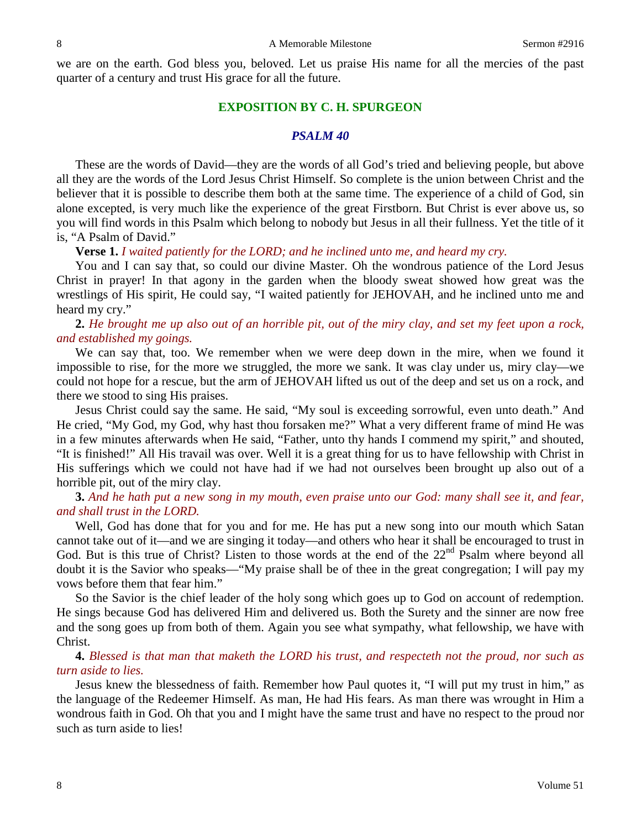we are on the earth. God bless you, beloved. Let us praise His name for all the mercies of the past quarter of a century and trust His grace for all the future.

#### **EXPOSITION BY C. H. SPURGEON**

#### *PSALM 40*

These are the words of David—they are the words of all God's tried and believing people, but above all they are the words of the Lord Jesus Christ Himself. So complete is the union between Christ and the believer that it is possible to describe them both at the same time. The experience of a child of God, sin alone excepted, is very much like the experience of the great Firstborn. But Christ is ever above us, so you will find words in this Psalm which belong to nobody but Jesus in all their fullness. Yet the title of it is, "A Psalm of David."

**Verse 1.** *I waited patiently for the LORD; and he inclined unto me, and heard my cry.*

You and I can say that, so could our divine Master. Oh the wondrous patience of the Lord Jesus Christ in prayer! In that agony in the garden when the bloody sweat showed how great was the wrestlings of His spirit, He could say, "I waited patiently for JEHOVAH, and he inclined unto me and heard my cry."

### **2.** *He brought me up also out of an horrible pit, out of the miry clay, and set my feet upon a rock, and established my goings.*

We can say that, too. We remember when we were deep down in the mire, when we found it impossible to rise, for the more we struggled, the more we sank. It was clay under us, miry clay—we could not hope for a rescue, but the arm of JEHOVAH lifted us out of the deep and set us on a rock, and there we stood to sing His praises.

Jesus Christ could say the same. He said, "My soul is exceeding sorrowful, even unto death." And He cried, "My God, my God, why hast thou forsaken me?" What a very different frame of mind He was in a few minutes afterwards when He said, "Father, unto thy hands I commend my spirit," and shouted, "It is finished!" All His travail was over. Well it is a great thing for us to have fellowship with Christ in His sufferings which we could not have had if we had not ourselves been brought up also out of a horrible pit, out of the miry clay.

### **3.** *And he hath put a new song in my mouth, even praise unto our God: many shall see it, and fear, and shall trust in the LORD.*

Well, God has done that for you and for me. He has put a new song into our mouth which Satan cannot take out of it—and we are singing it today—and others who hear it shall be encouraged to trust in God. But is this true of Christ? Listen to those words at the end of the 22<sup>nd</sup> Psalm where beyond all doubt it is the Savior who speaks—"My praise shall be of thee in the great congregation; I will pay my vows before them that fear him."

So the Savior is the chief leader of the holy song which goes up to God on account of redemption. He sings because God has delivered Him and delivered us. Both the Surety and the sinner are now free and the song goes up from both of them. Again you see what sympathy, what fellowship, we have with Christ.

### **4.** *Blessed is that man that maketh the LORD his trust, and respecteth not the proud, nor such as turn aside to lies.*

Jesus knew the blessedness of faith. Remember how Paul quotes it, "I will put my trust in him," as the language of the Redeemer Himself. As man, He had His fears. As man there was wrought in Him a wondrous faith in God. Oh that you and I might have the same trust and have no respect to the proud nor such as turn aside to lies!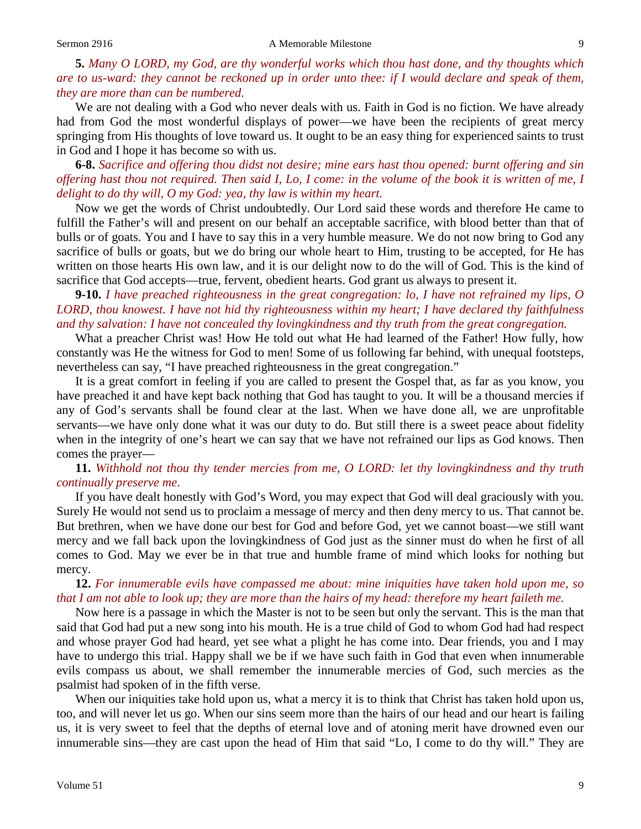## **5.** *Many O LORD, my God, are thy wonderful works which thou hast done, and thy thoughts which are to us-ward: they cannot be reckoned up in order unto thee: if I would declare and speak of them, they are more than can be numbered.*

We are not dealing with a God who never deals with us. Faith in God is no fiction. We have already had from God the most wonderful displays of power—we have been the recipients of great mercy springing from His thoughts of love toward us. It ought to be an easy thing for experienced saints to trust in God and I hope it has become so with us.

**6-8.** *Sacrifice and offering thou didst not desire; mine ears hast thou opened: burnt offering and sin offering hast thou not required. Then said I, Lo, I come: in the volume of the book it is written of me, I delight to do thy will, O my God: yea, thy law is within my heart.* 

Now we get the words of Christ undoubtedly. Our Lord said these words and therefore He came to fulfill the Father's will and present on our behalf an acceptable sacrifice, with blood better than that of bulls or of goats. You and I have to say this in a very humble measure. We do not now bring to God any sacrifice of bulls or goats, but we do bring our whole heart to Him, trusting to be accepted, for He has written on those hearts His own law, and it is our delight now to do the will of God. This is the kind of sacrifice that God accepts—true, fervent, obedient hearts. God grant us always to present it.

## **9-10.** *I have preached righteousness in the great congregation: lo, I have not refrained my lips, O LORD, thou knowest. I have not hid thy righteousness within my heart; I have declared thy faithfulness and thy salvation: I have not concealed thy lovingkindness and thy truth from the great congregation.*

What a preacher Christ was! How He told out what He had learned of the Father! How fully, how constantly was He the witness for God to men! Some of us following far behind, with unequal footsteps, nevertheless can say, "I have preached righteousness in the great congregation."

It is a great comfort in feeling if you are called to present the Gospel that, as far as you know, you have preached it and have kept back nothing that God has taught to you. It will be a thousand mercies if any of God's servants shall be found clear at the last. When we have done all, we are unprofitable servants—we have only done what it was our duty to do. But still there is a sweet peace about fidelity when in the integrity of one's heart we can say that we have not refrained our lips as God knows. Then comes the prayer—

### **11.** *Withhold not thou thy tender mercies from me, O LORD: let thy lovingkindness and thy truth continually preserve me*.

If you have dealt honestly with God's Word, you may expect that God will deal graciously with you. Surely He would not send us to proclaim a message of mercy and then deny mercy to us. That cannot be. But brethren, when we have done our best for God and before God, yet we cannot boast—we still want mercy and we fall back upon the lovingkindness of God just as the sinner must do when he first of all comes to God. May we ever be in that true and humble frame of mind which looks for nothing but mercy.

### **12.** *For innumerable evils have compassed me about: mine iniquities have taken hold upon me, so that I am not able to look up; they are more than the hairs of my head: therefore my heart faileth me.*

Now here is a passage in which the Master is not to be seen but only the servant. This is the man that said that God had put a new song into his mouth. He is a true child of God to whom God had had respect and whose prayer God had heard, yet see what a plight he has come into. Dear friends, you and I may have to undergo this trial. Happy shall we be if we have such faith in God that even when innumerable evils compass us about, we shall remember the innumerable mercies of God, such mercies as the psalmist had spoken of in the fifth verse.

When our iniquities take hold upon us, what a mercy it is to think that Christ has taken hold upon us, too, and will never let us go. When our sins seem more than the hairs of our head and our heart is failing us, it is very sweet to feel that the depths of eternal love and of atoning merit have drowned even our innumerable sins—they are cast upon the head of Him that said "Lo, I come to do thy will." They are